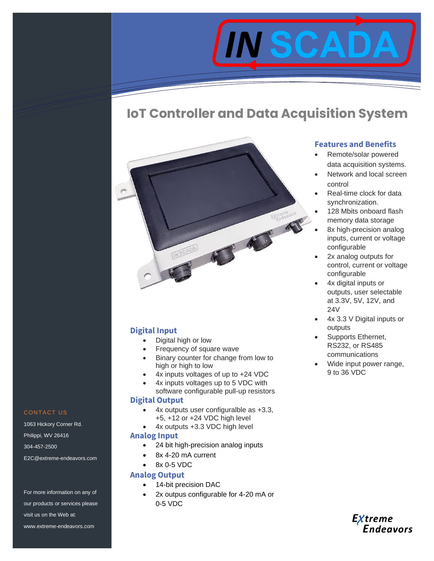

# **IoT Controller and Data Acquisition System**



## **Digital Input**

- Digital high or low
- Frequency of square wave
- Binary counter for change from low to high or high to low
- 4x inputs voltages of up to +24 VDC
- 4x inputs voltages up to 5 VDC with software configurable pull-up resistors

#### **Digital Output**

- 4x outputs user configuralble as +3.3, +5, +12 or +24 VDC high level
- 4x outputs +3.3 VDC high level

#### **Analog Input**

- 24 bit high-precision analog inputs
- 8x 4-20 mA current
- 8x 0-5 VDC

### **Analog Output**

- 14-bit precision DAC
- 2x outpus configurable for 4-20 mA or 0-5 VDC

## **Features and Benefits**

- Remote/solar powered data acquisition systems.
- Network and local screen control
- Real-time clock for data synchronization.
- 128 Mbits onboard flash memory data storage
- 8x high-precision analog inputs, current or voltage configurable
- 2x analog outputs for control, current or voltage configurable
- 4x digital inputs or outputs, user selectable at 3.3V, 5V, 12V, and 24V
- 4x 3.3 V Digital inputs or outputs
- Supports Ethernet, RS232, or RS485 communications
- Wide input power range, 9 to 36 VDC



#### CONTACT US

1063 Hickory Corner Rd. Philippi, WV 26416 304-457-2500 E2C@extreme-endeavors.com

For more information on any of our products or services please visit us on the Web at: www.extreme-endeavors.com